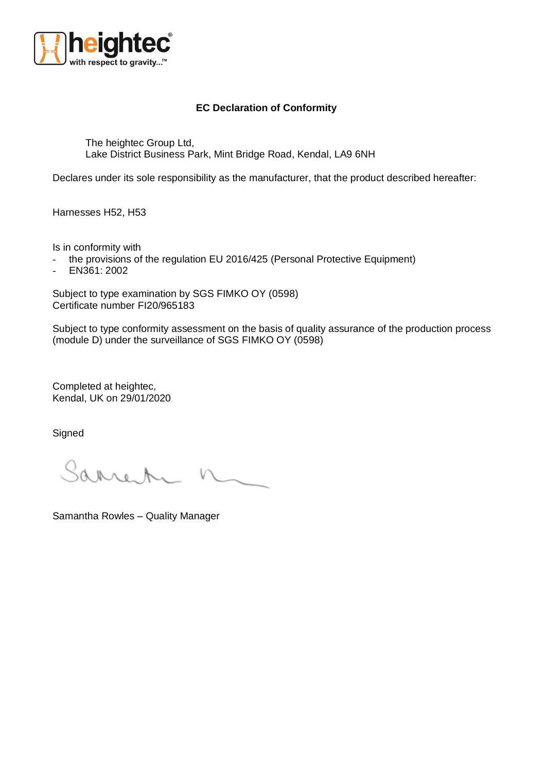

## **EC Declaration of Conformity**

The heightec Group Ltd, Lake District Business Park, Mint Bridge Road, Kendal, LA9 6NH

Declares under its sole responsibility as the manufacturer, that the product described hereafter:

Harnesses H52, H53

Is in conformity with

- the provisions of the regulation EU 2016/425 (Personal Protective Equipment)
- EN361: 2002

Subject to type examination by SGS FIMKO OY (0598) Certificate number FI20/965183

Subject to type conformity assessment on the basis of quality assurance of the production process (module D) under the surveillance of SGS FIMKO OY (0598)

Completed at heightec, Kendal, UK on 29/01/2020

**Signed** 

Sarren

Samantha Rowles – Quality Manager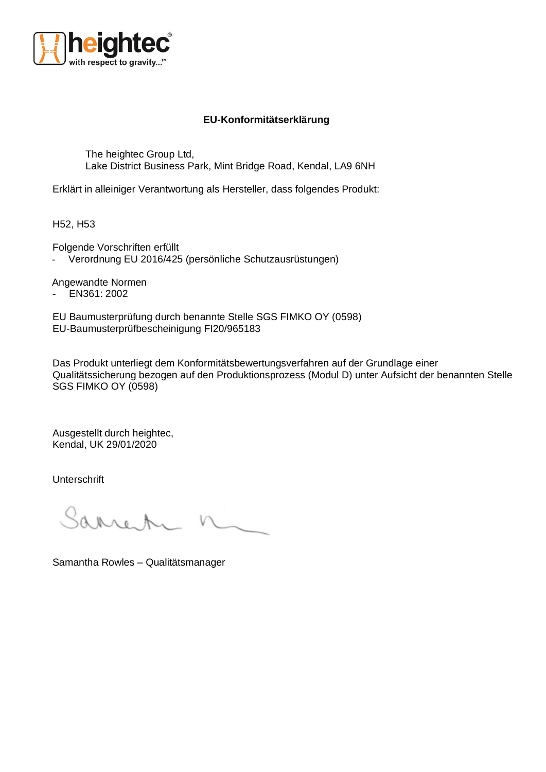

## **EU-Konformitätserklärung**

The heightec Group Ltd, Lake District Business Park, Mint Bridge Road, Kendal, LA9 6NH

Erklärt in alleiniger Verantwortung als Hersteller, dass folgendes Produkt:

H52, H53

Folgende Vorschriften erfüllt

- Verordnung EU 2016/425 (persönliche Schutzausrüstungen)

Angewandte Normen

- EN361: 2002

EU Baumusterprüfung durch benannte Stelle SGS FIMKO OY (0598) EU-Baumusterprüfbescheinigung FI20/965183

Das Produkt unterliegt dem Konformitätsbewertungsverfahren auf der Grundlage einer Qualitätssicherung bezogen auf den Produktionsprozess (Modul D) unter Aufsicht der benannten Stelle SGS FIMKO OY (0598)

Ausgestellt durch heightec, Kendal, UK 29/01/2020

Unterschrift

Samantha Rowles – Qualitätsmanager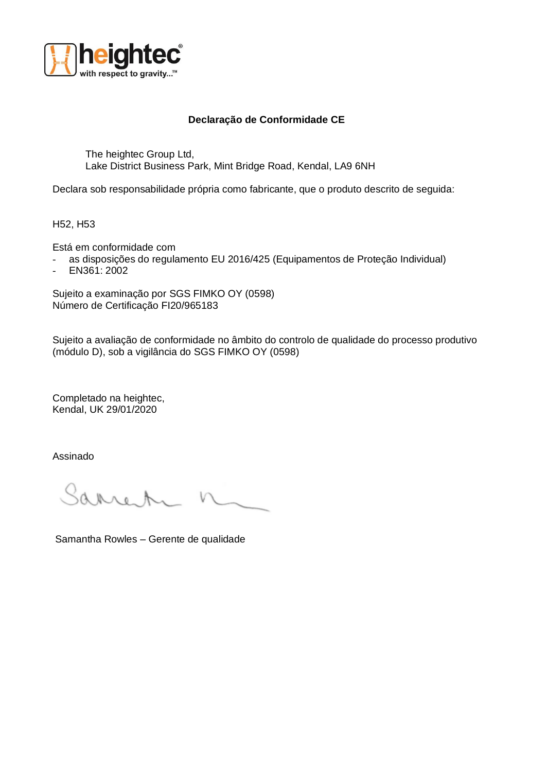

## **Declaração de Conformidade CE**

The heightec Group Ltd, Lake District Business Park, Mint Bridge Road, Kendal, LA9 6NH

Declara sob responsabilidade própria como fabricante, que o produto descrito de seguida:

H52, H53

Está em conformidade com

- as disposições do regulamento EU 2016/425 (Equipamentos de Proteção Individual)
- EN361: 2002

Sujeito a examinação por SGS FIMKO OY (0598) Número de Certificação FI20/965183

Sujeito a avaliação de conformidade no âmbito do controlo de qualidade do processo produtivo (módulo D), sob a vigilância do SGS FIMKO OY (0598)

Completado na heightec, Kendal, UK 29/01/2020

Assinado

Sarro

Samantha Rowles – Gerente de qualidade